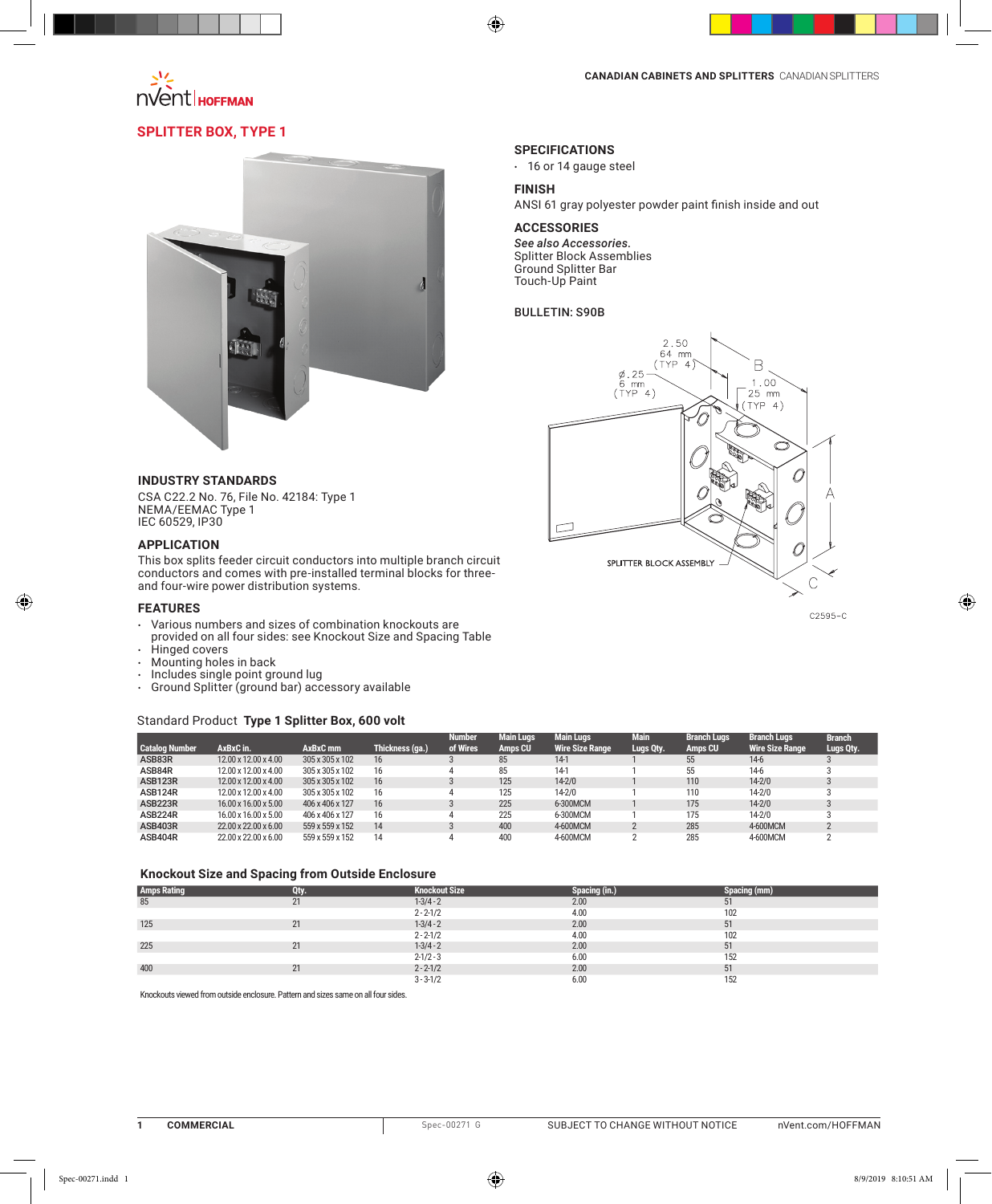

## **Splitter Box, Type 1**



#### **INDUSTRY STANDARDS**

CSA C22.2 No. 76, File No. 42184: Type 1 NEMA/EEMAC Type 1 IEC 60529, IP30

#### **APPLICATION**

This box splits feeder circuit conductors into multiple branch circuit conductors and comes with pre-installed terminal blocks for threeand four-wire power distribution systems.

#### **FEATURES**

⊕

- $\cdot$  Various numbers and sizes of combination knockouts are provided on all four sides: see Knockout Size and Spacing Table
- 
- Hinged covers<br>• Mounting holes • Mounting holes in back<br>• Includes single point grow
- 
- Includes single point ground lug<br>• Ground Splitter (ground bar) acc Ground Splitter (ground bar) accessory available

#### Standard Product **Type 1 Splitter Box, 600 volt**

|                       |                      |                 |                 | <b>Number</b> | <b>Main Lugs</b> | <b>Main Lugs</b>       | <b>Main</b> | <b>Branch Lugs</b> | <b>Branch Lugs</b>     | <b>Branch</b> |
|-----------------------|----------------------|-----------------|-----------------|---------------|------------------|------------------------|-------------|--------------------|------------------------|---------------|
| <b>Catalog Number</b> | AxBxC in.            | AxBxC mm        | Thickness (ga.) | of Wires      | Amps CU          | <b>Wire Size Range</b> | Lugs Qty.   | Amps CU            | <b>Wire Size Range</b> | Lugs Qty.     |
| ASB83R                | 12.00 x 12.00 x 4.00 | 305 x 305 x 102 | 16              |               | 85               | $14-1$                 |             | 55                 | $14-6$                 |               |
| ASB84R                | 12.00 x 12.00 x 4.00 | 305 x 305 x 102 | 16              |               | 85               | $14-1$                 |             | 55                 | $14-6$                 |               |
| ASB123R               | 12.00 x 12.00 x 4.00 | 305 x 305 x 102 | 16              |               | 125              | $14 - 2/0$             |             | 110                | $14 - 2/0$             |               |
| ASB124R               | 12.00 x 12.00 x 4.00 | 305 x 305 x 102 | 16              |               | 125              | $14 - 2/0$             |             | 110                | $14 - 2/0$             |               |
| ASB223R               | 16.00 x 16.00 x 5.00 | 406 x 406 x 127 | 16              |               | 225              | 6-300MCM               |             | 175                | $14 - 2/0$             |               |
| ASB224R               | 16.00 x 16.00 x 5.00 | 406 x 406 x 127 | 16              |               | 225              | 6-300MCM               |             | 175                | $14 - 2/0$             |               |
| ASB403R               | 22.00 x 22.00 x 6.00 | 559 x 559 x 152 | 14              |               | 400              | 4-600MCM               |             | 285                | 4-600MCM               |               |
| ASB404R               | 22.00 x 22.00 x 6.00 | 559 x 559 x 152 | 14              |               | 400              | 4-600MCM               |             | 285                | 4-600MCM               |               |

#### **Knockout Size and Spacing from Outside Enclosure**

| <b>Amps Rating</b> | υW | <b>Knockout Size</b> |      | cing (mm) |
|--------------------|----|----------------------|------|-----------|
| 85                 |    | $1 - 3/4 - 2$        | 2.00 | IJΙ       |
|                    |    | $2 - 2 - 1/2$        | 4.00 | 102       |
| 125                |    | $1 - 3/4 - 2$        | 2.00 | 51        |
|                    |    | $2 - 2 - 1/2$        | 4.00 | 102       |
| 225                |    | $1 - 3/4 - 2$        | 2.00 | 51        |
|                    |    | $2 - 1/2 - 3$        | 6.00 | 152       |
| 400                |    | $2 - 2 - 1/2$        | 2.00 | 51        |
|                    |    | $3 - 3 - 1/2$        | 6.00 | 152       |

Knockouts viewed from outside enclosure. Pattern and sizes same on all four sides.

## **FINISH** ANSI 61 gray polyester powder paint finish inside and out **ACCESSORIES**

*See also Accessories.* Splitter Block Assemblies Ground Splitter Bar Touch-Up Paint

#### Bulletin: S90B

**SPECIFICATIONS** • 16 or 14 gauge steel

 $\bigoplus$ 



 $C2595-C$ 

 $\bigoplus$